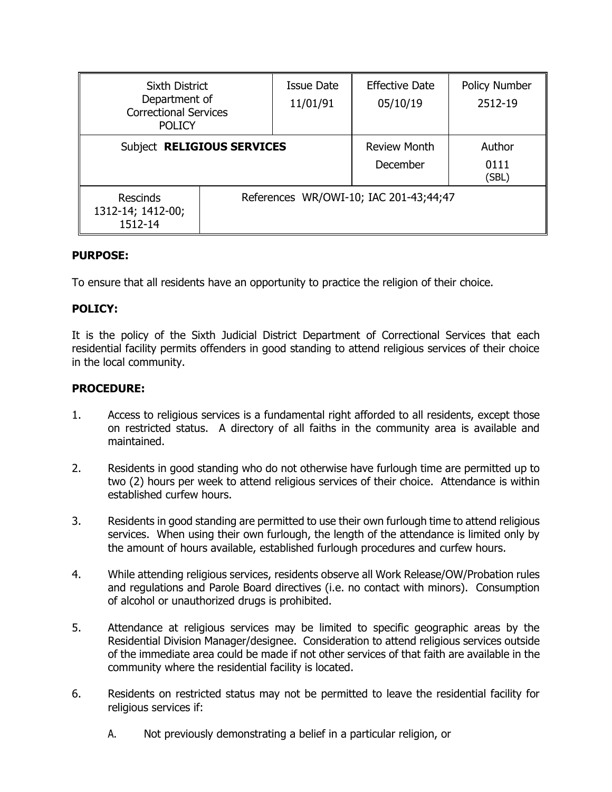| Sixth District<br>Department of<br><b>Correctional Services</b><br><b>POLICY</b> |                                        | <b>Issue Date</b><br>11/01/91 | <b>Effective Date</b><br>05/10/19 | Policy Number<br>2512-19 |
|----------------------------------------------------------------------------------|----------------------------------------|-------------------------------|-----------------------------------|--------------------------|
| Subject RELIGIOUS SERVICES                                                       |                                        |                               | <b>Review Month</b><br>December   | Author<br>0111           |
|                                                                                  |                                        |                               |                                   | (SBL)                    |
| <b>Rescinds</b><br>1312-14; 1412-00;<br>1512-14                                  | References WR/OWI-10; IAC 201-43;44;47 |                               |                                   |                          |

# **PURPOSE:**

To ensure that all residents have an opportunity to practice the religion of their choice.

# **POLICY:**

It is the policy of the Sixth Judicial District Department of Correctional Services that each residential facility permits offenders in good standing to attend religious services of their choice in the local community.

### **PROCEDURE:**

- 1. Access to religious services is a fundamental right afforded to all residents, except those on restricted status. A directory of all faiths in the community area is available and maintained.
- 2. Residents in good standing who do not otherwise have furlough time are permitted up to two (2) hours per week to attend religious services of their choice. Attendance is within established curfew hours.
- 3. Residents in good standing are permitted to use their own furlough time to attend religious services. When using their own furlough, the length of the attendance is limited only by the amount of hours available, established furlough procedures and curfew hours.
- 4. While attending religious services, residents observe all Work Release/OW/Probation rules and regulations and Parole Board directives (i.e. no contact with minors). Consumption of alcohol or unauthorized drugs is prohibited.
- 5. Attendance at religious services may be limited to specific geographic areas by the Residential Division Manager/designee. Consideration to attend religious services outside of the immediate area could be made if not other services of that faith are available in the community where the residential facility is located.
- 6. Residents on restricted status may not be permitted to leave the residential facility for religious services if:
	- A. Not previously demonstrating a belief in a particular religion, or